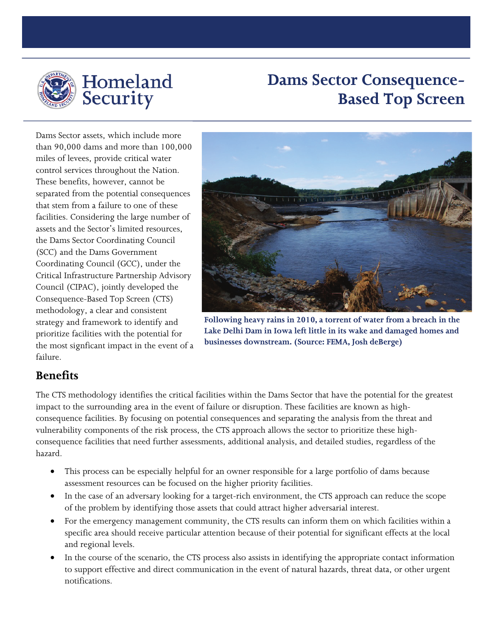

## **Dams Sector Consequence-Based Top Screen**

Dams Sector assets, which include more than 90,000 dams and more than 100,000 miles of levees, provide critical water control services throughout the Nation. These benefits, however, cannot be separated from the potential consequences that stem from a failure to one of these facilities. Considering the large number of assets and the Sector's limited resources, the Dams Sector Coordinating Council (SCC) and the Dams Government Coordinating Council (GCC), under the Critical Infrastructure Partnership Advisory Council (CIPAC), jointly developed the Consequence-Based Top Screen (CTS) methodology, a clear and consistent strategy and framework to identify and prioritize facilities with the potential for the most signficant impact in the event of a failure.



**Following heavy rains in 2010, a torrent of water from a breach in the Lake Delhi Dam in Iowa left little in its wake and damaged homes and businesses downstream. (Source: FEMA, Josh deBerge)**

## **Benefits**

The CTS methodology identifies the critical facilities within the Dams Sector that have the potential for the greatest impact to the surrounding area in the event of failure or disruption. These facilities are known as highconsequence facilities. By focusing on potential consequences and separating the analysis from the threat and vulnerability components of the risk process, the CTS approach allows the sector to prioritize these highconsequence facilities that need further assessments, additional analysis, and detailed studies, regardless of the hazard.

- This process can be especially helpful for an owner responsible for a large portfolio of dams because assessment resources can be focused on the higher priority facilities.
- In the case of an adversary looking for a target-rich environment, the CTS approach can reduce the scope of the problem by identifying those assets that could attract higher adversarial interest.
- For the emergency management community, the CTS results can inform them on which facilities within a specific area should receive particular attention because of their potential for significant effects at the local and regional levels.
- In the course of the scenario, the CTS process also assists in identifying the appropriate contact information to support effective and direct communication in the event of natural hazards, threat data, or other urgent notifications.